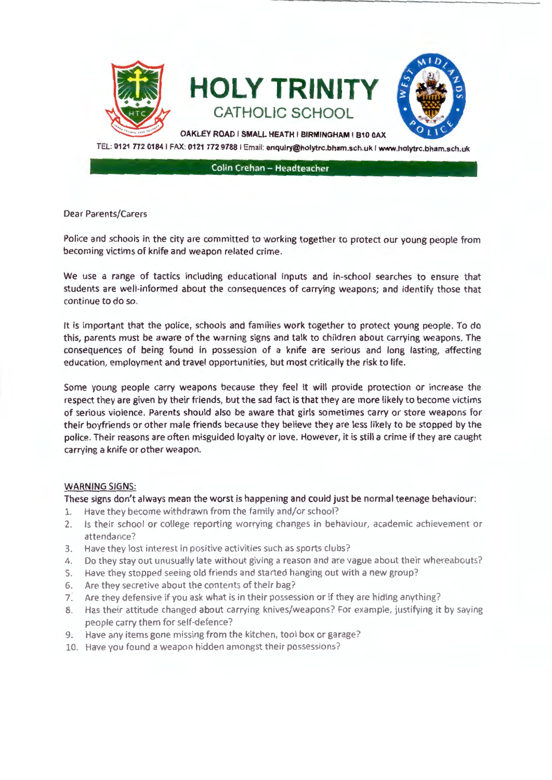

## **Colin Crehan** - **Headteacher**

Dear Parents/Carers

Police and schools in the city are committed to working together to protect our young people from becoming victims of knife and weapon related crime.

We use a range of tactics including educational inputs and in-school searches to ensure that students are well-informed about the consequences of carrying weapons; and identify those that continue to do so.

It is important that the police, schools and families work together to protect young people. To do this, parents must be aware of the warning signs and talk to children about carrying weapons. The consequences of being found in possession of a knife are serious and long lasting, affecting education, employment and travel opportunities, but most critically the risk to life.

Some young people carry weapons because they feel it will provide protection or increase the respect they are given by their friends, but the sad fact is that they are more likely to become victims of serious violence. Parents should also be aware that girls sometimes carry or store weapons for their boyfriends or other male friends because they believe they are less likely to be stopped by the police. Their reasons are often misguided loyalty or love. However, it is still a crime if they are caught carrying a knife or other weapon.

## **WARNING SIGNS:**

These signs don't always mean the worst is happening and could just be normal teenage behaviour:

- 1. Have they become withdrawn from the family and/or school?
- 2. Is their school or college reporting worrying changes in behaviour, academic achievement or attendance?
- 3. Have they lost interest in positive activities such as sports clubs?
- 4. Do they stay out unusually late without giving a reason and are vague about their whereabouts?
- 5. Have they stopped seeing old friends and started hanging out with a new group?
- 6. Are they secretive about the contents of their bag?
- 7. Are they defensive if you ask what is in their possession or if they are hiding anything?
- 8. Has their attitude changed about carrying knives/weapons? For example, justifying it by saying people carry them for self-defence?
- 9. Have any items gone missing from the kitchen, tool box or garage?
- 10. Have you found a weapon hidden amongst their possessions?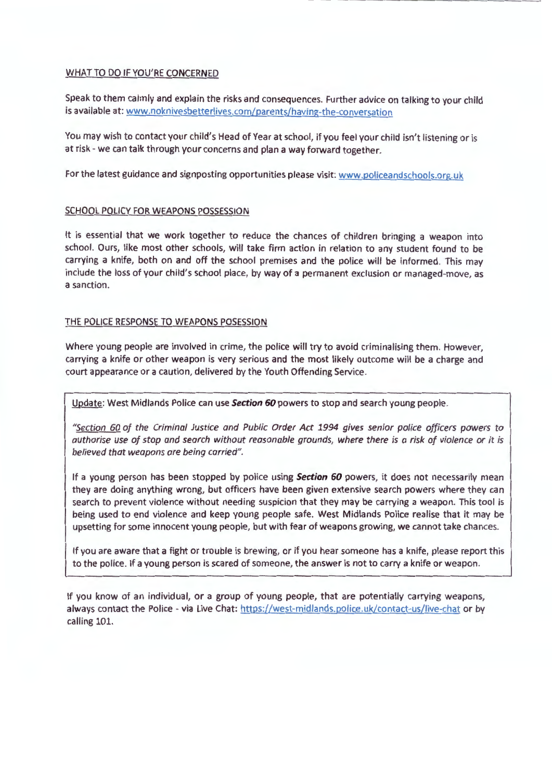# WHAT TO DO IF YOU'RE CONCERNED

Speak to them calmly and explain the risks and consequences. Further advice on talking to your child is available at: www.noknivesbetterlives.com/parents/having-the-conversation

You may wish to contact your child's Head of Year at school, if you feel your child isn't listening or is at risk - we can talk through your concerns and plan a way forward together.

For the latest guidance and signposting opportunities please visit: www.policeandschools.org.uk

## SCHOOL POLICY FOR WEAPONS POSSESSION

It is essential that we work together to reduce the chances of children bringing a weapon into school. Ours, like most other schools, will take firm action in relation to any student found to be carrying a knife, both on and off the school premises and the police will be informed. This may include the loss of your child's school place, by way of a permanent exclusion or managed-move, as a sanction.

## THE POLICE RESPONSE TO WEAPONS POSESSION

Where young people are involved in crime, the police will try to avoid criminalising them. However, carrying a knife or other weapon is very serious and the most likely outcome will be a charge and court appearance or a caution, delivered by the Youth Offending Service.

Update: West Midlands Police can use **Section 60** powers to stop and search young people.

"Section 60 of the Criminal Justice and Public Order Act 1994 gives senior police officers powers to authorise use of stop and search without reasonable grounds, where there is a risk of violence or it is believed that weapons are being carried".

If a young person has been stopped by police using **Section 60** powers, it does not necessarily mean they are doing anything wrong, but officers have been given extensive search powers where they can search to prevent violence without needing suspicion that they may be carrying a weapon. This tool is being used to end violence and keep young people safe. West Midlands Police realise that it may be upsetting for some innocent young people, but with fear of weapons growing, we cannot take chances.

If you are aware that a fight or trouble is brewing, or if you hear someone has a knife, please report this to the police. If a young person is scared of someone, the answer is not to carry a knife or weapon.

If you know of an individual, or a group of young people, that are potentially carrying weapons, always contact the Police - via Live Chat: https://west-midlands.police.uk/contact-us/live-chat or by calling 101.